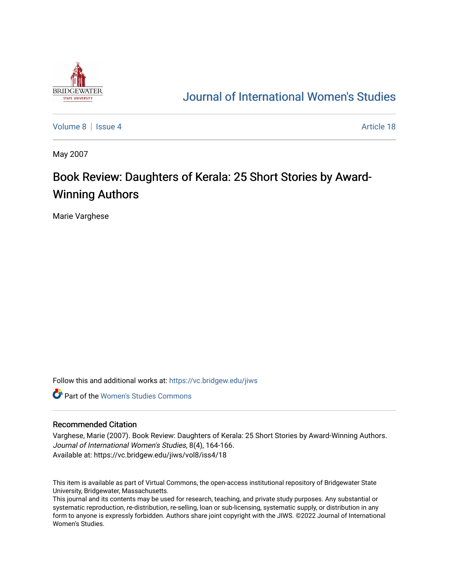

## [Journal of International Women's Studies](https://vc.bridgew.edu/jiws)

[Volume 8](https://vc.bridgew.edu/jiws/vol8) | [Issue 4](https://vc.bridgew.edu/jiws/vol8/iss4) Article 18

May 2007

## Book Review: Daughters of Kerala: 25 Short Stories by Award-Winning Authors

Marie Varghese

Follow this and additional works at: [https://vc.bridgew.edu/jiws](https://vc.bridgew.edu/jiws?utm_source=vc.bridgew.edu%2Fjiws%2Fvol8%2Fiss4%2F18&utm_medium=PDF&utm_campaign=PDFCoverPages)

**C** Part of the Women's Studies Commons

## Recommended Citation

Varghese, Marie (2007). Book Review: Daughters of Kerala: 25 Short Stories by Award-Winning Authors. Journal of International Women's Studies, 8(4), 164-166. Available at: https://vc.bridgew.edu/jiws/vol8/iss4/18

This item is available as part of Virtual Commons, the open-access institutional repository of Bridgewater State University, Bridgewater, Massachusetts.

This journal and its contents may be used for research, teaching, and private study purposes. Any substantial or systematic reproduction, re-distribution, re-selling, loan or sub-licensing, systematic supply, or distribution in any form to anyone is expressly forbidden. Authors share joint copyright with the JIWS. ©2022 Journal of International Women's Studies.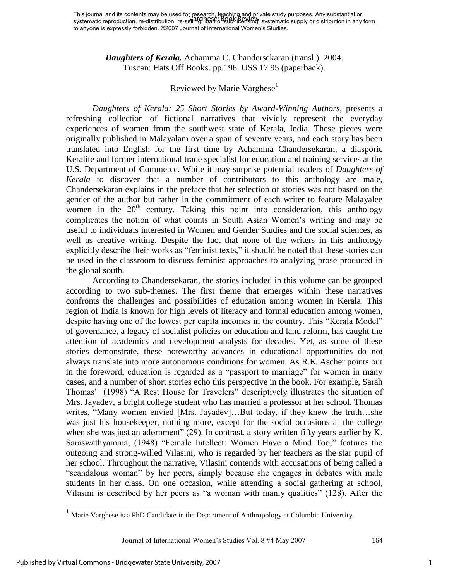*Daughters of Kerala.* Achamma C. Chandersekaran (transl.). 2004. Tuscan: Hats Off Books. pp.196. US\$ 17.95 (paperback).

## Reviewed by Marie Varghese $<sup>1</sup>$ </sup>

*Daughters of Kerala: 25 Short Stories by Award-Winning Authors*, presents a refreshing collection of fictional narratives that vividly represent the everyday experiences of women from the southwest state of Kerala, India. These pieces were originally published in Malayalam over a span of seventy years, and each story has been translated into English for the first time by Achamma Chandersekaran, a diasporic Keralite and former international trade specialist for education and training services at the U.S. Department of Commerce. While it may surprise potential readers of *Daughters of Kerala* to discover that a number of contributors to this anthology are male, Chandersekaran explains in the preface that her selection of stories was not based on the gender of the author but rather in the commitment of each writer to feature Malayalee women in the  $20<sup>th</sup>$  century. Taking this point into consideration, this anthology complicates the notion of what counts in South Asian Women's writing and may be useful to individuals interested in Women and Gender Studies and the social sciences, as well as creative writing. Despite the fact that none of the writers in this anthology explicitly describe their works as "feminist texts," it should be noted that these stories can be used in the classroom to discuss feminist approaches to analyzing prose produced in the global south.

 According to Chandersekaran, the stories included in this volume can be grouped according to two sub-themes. The first theme that emerges within these narratives confronts the challenges and possibilities of education among women in Kerala. This region of India is known for high levels of literacy and formal education among women, despite having one of the lowest per capita incomes in the country. This "Kerala Model" of governance, a legacy of socialist policies on education and land reform, has caught the attention of academics and development analysts for decades. Yet, as some of these stories demonstrate, these noteworthy advances in educational opportunities do not always translate into more autonomous conditions for women. As R.E. Ascher points out in the foreword, education is regarded as a "passport to marriage" for women in many cases, and a number of short stories echo this perspective in the book. For example, Sarah Thomas' (1998) "A Rest House for Travelers" descriptively illustrates the situation of Mrs. Jayadev, a bright college student who has married a professor at her school. Thomas writes, "Many women envied [Mrs. Jayadev]…But today, if they knew the truth…she was just his housekeeper, nothing more, except for the social occasions at the college when she was just an adornment" (29). In contrast, a story written fifty years earlier by K. Saraswathyamma, (1948) "Female Intellect: Women Have a Mind Too," features the outgoing and strong-willed Vilasini, who is regarded by her teachers as the star pupil of her school. Throughout the narrative, Vilasini contends with accusations of being called a "scandalous woman" by her peers, simply because she engages in debates with male students in her class. On one occasion, while attending a social gathering at school, Vilasini is described by her peers as "a woman with manly qualities" (128). After the

 $\overline{a}$ 

<sup>1</sup> Marie Varghese is a PhD Candidate in the Department of Anthropology at Columbia University.

Journal of International Women's Studies Vol. 8 #4 May 2007 164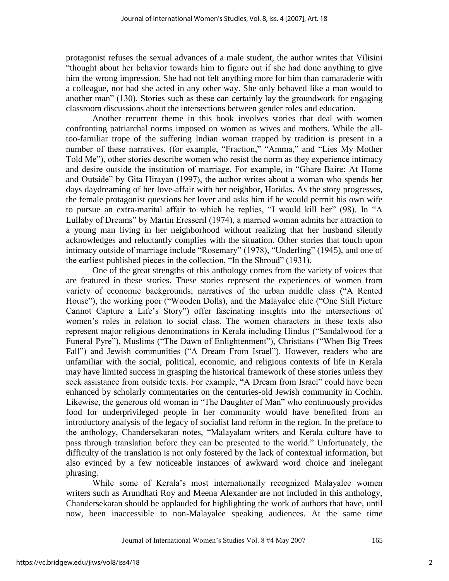protagonist refuses the sexual advances of a male student, the author writes that Vilisini "thought about her behavior towards him to figure out if she had done anything to give him the wrong impression. She had not felt anything more for him than camaraderie with a colleague, nor had she acted in any other way. She only behaved like a man would to another man" (130). Stories such as these can certainly lay the groundwork for engaging classroom discussions about the intersections between gender roles and education.

 Another recurrent theme in this book involves stories that deal with women confronting patriarchal norms imposed on women as wives and mothers. While the alltoo-familiar trope of the suffering Indian woman trapped by tradition is present in a number of these narratives, (for example, "Fraction," "Amma," and "Lies My Mother Told Me"), other stories describe women who resist the norm as they experience intimacy and desire outside the institution of marriage. For example, in "Ghare Baire: At Home and Outside" by Gita Hirayan (1997), the author writes about a woman who spends her days daydreaming of her love-affair with her neighbor, Haridas. As the story progresses, the female protagonist questions her lover and asks him if he would permit his own wife to pursue an extra-marital affair to which he replies, "I would kill her" (98). In "A Lullaby of Dreams" by Martin Eresseril (1974), a married woman admits her attraction to a young man living in her neighborhood without realizing that her husband silently acknowledges and reluctantly complies with the situation. Other stories that touch upon intimacy outside of marriage include "Rosemary" (1978), "Underling" (1945), and one of the earliest published pieces in the collection, "In the Shroud" (1931).

 One of the great strengths of this anthology comes from the variety of voices that are featured in these stories. These stories represent the experiences of women from variety of economic backgrounds; narratives of the urban middle class ("A Rented House"), the working poor ("Wooden Dolls), and the Malayalee elite ("One Still Picture Cannot Capture a Life's Story") offer fascinating insights into the intersections of women's roles in relation to social class. The women characters in these texts also represent major religious denominations in Kerala including Hindus ("Sandalwood for a Funeral Pyre"), Muslims ("The Dawn of Enlightenment"), Christians ("When Big Trees Fall") and Jewish communities ("A Dream From Israel"). However, readers who are unfamiliar with the social, political, economic, and religious contexts of life in Kerala may have limited success in grasping the historical framework of these stories unless they seek assistance from outside texts. For example, "A Dream from Israel" could have been enhanced by scholarly commentaries on the centuries-old Jewish community in Cochin. Likewise, the generous old woman in "The Daughter of Man" who continuously provides food for underprivileged people in her community would have benefited from an introductory analysis of the legacy of socialist land reform in the region. In the preface to the anthology, Chandersekaran notes, "Malayalam writers and Kerala culture have to pass through translation before they can be presented to the world." Unfortunately, the difficulty of the translation is not only fostered by the lack of contextual information, but also evinced by a few noticeable instances of awkward word choice and inelegant phrasing.

While some of Kerala's most internationally recognized Malayalee women writers such as Arundhati Roy and Meena Alexander are not included in this anthology, Chandersekaran should be applauded for highlighting the work of authors that have, until now, been inaccessible to non-Malayalee speaking audiences. At the same time